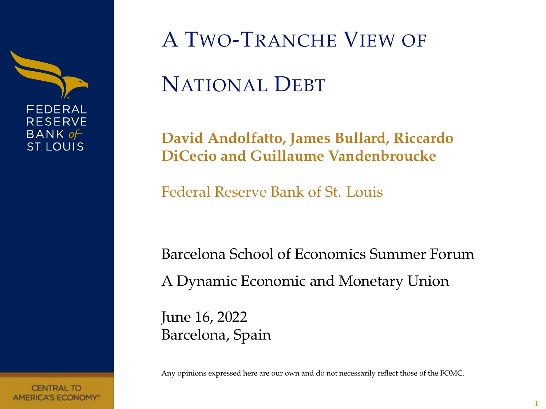

# A TWO-TRANCHE VIEW OF

# NATIONAL DEBT

**David Andolfatto, James Bullard, Riccardo DiCecio and Guillaume Vandenbroucke**

Federal Reserve Bank of St. Louis

Barcelona School of Economics Summer Forum A Dynamic Economic and Monetary Union

June 16, 2022 Barcelona, Spain

Any opinions expressed here are our own and do not necessarily reflect those of the FOMC.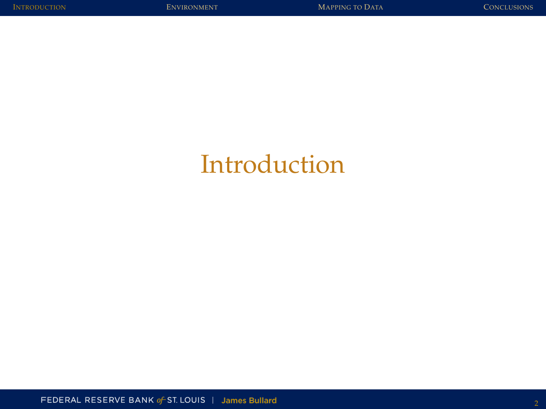# <span id="page-1-0"></span>Introduction

FEDERAL RESERVE BANK of ST. LOUIS | James Bullard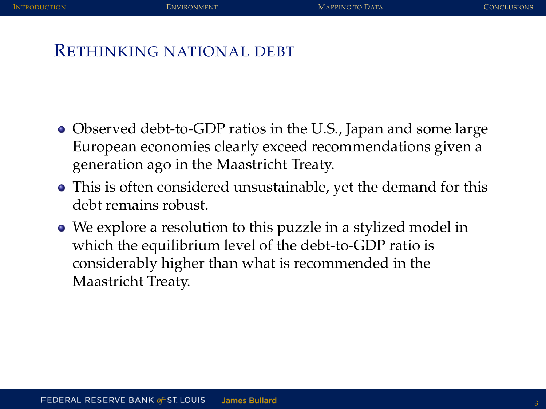#### RETHINKING NATIONAL DEBT

- Observed debt-to-GDP ratios in the U.S., Japan and some large European economies clearly exceed recommendations given a generation ago in the Maastricht Treaty.
- This is often considered unsustainable, yet the demand for this debt remains robust.
- We explore a resolution to this puzzle in a stylized model in which the equilibrium level of the debt-to-GDP ratio is considerably higher than what is recommended in the Maastricht Treaty.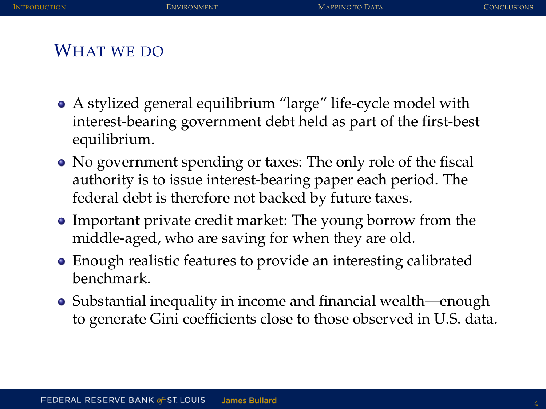### WHAT WE DO

- A stylized general equilibrium "large" life-cycle model with interest-bearing government debt held as part of the first-best equilibrium.
- No government spending or taxes: The only role of the fiscal authority is to issue interest-bearing paper each period. The federal debt is therefore not backed by future taxes.
- Important private credit market: The young borrow from the middle-aged, who are saving for when they are old.
- Enough realistic features to provide an interesting calibrated benchmark.
- Substantial inequality in income and financial wealth—enough to generate Gini coefficients close to those observed in U.S. data.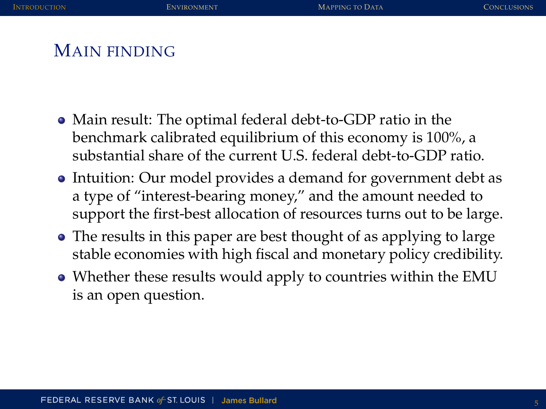# MAIN FINDING

- Main result: The optimal federal debt-to-GDP ratio in the benchmark calibrated equilibrium of this economy is 100%, a substantial share of the current U.S. federal debt-to-GDP ratio.
- Intuition: Our model provides a demand for government debt as a type of "interest-bearing money," and the amount needed to support the first-best allocation of resources turns out to be large.
- The results in this paper are best thought of as applying to large stable economies with high fiscal and monetary policy credibility.
- Whether these results would apply to countries within the EMU is an open question.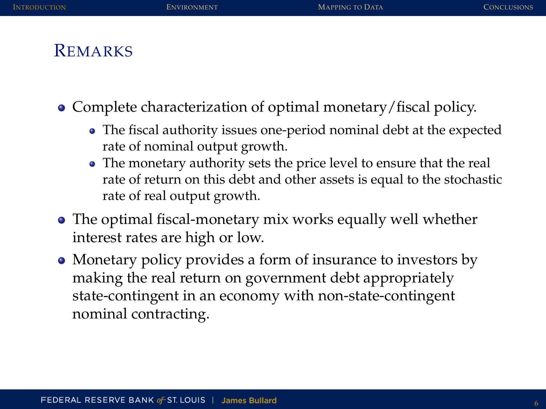## REMARKS

- Complete characterization of optimal monetary/fiscal policy.
	- The fiscal authority issues one-period nominal debt at the expected rate of nominal output growth.
	- The monetary authority sets the price level to ensure that the real rate of return on this debt and other assets is equal to the stochastic rate of real output growth.
- The optimal fiscal-monetary mix works equally well whether interest rates are high or low.
- Monetary policy provides a form of insurance to investors by making the real return on government debt appropriately state-contingent in an economy with non-state-contingent nominal contracting.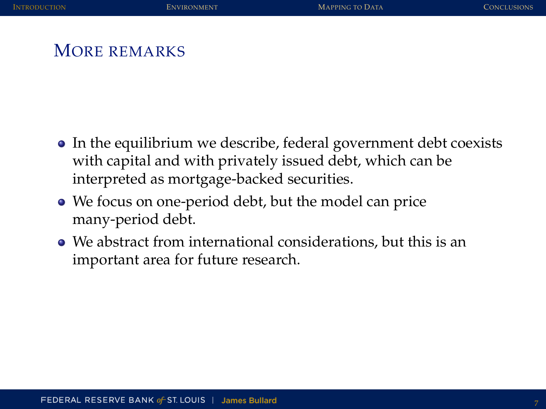### MORE REMARKS

- In the equilibrium we describe, federal government debt coexists with capital and with privately issued debt, which can be interpreted as mortgage-backed securities.
- We focus on one-period debt, but the model can price many-period debt.
- We abstract from international considerations, but this is an important area for future research.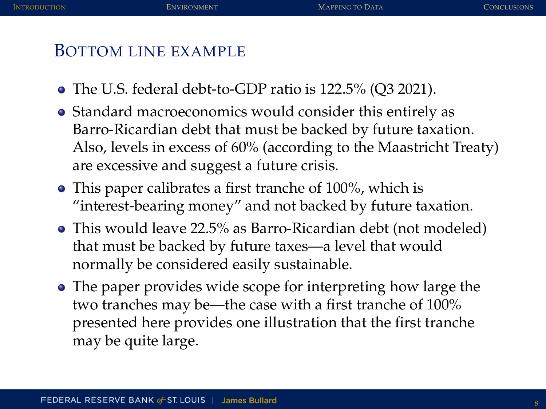#### BOTTOM LINE EXAMPLE

- The U.S. federal debt-to-GDP ratio is 122.5% (Q3 2021).
- Standard macroeconomics would consider this entirely as Barro-Ricardian debt that must be backed by future taxation. Also, levels in excess of 60% (according to the Maastricht Treaty) are excessive and suggest a future crisis.
- This paper calibrates a first tranche of 100%, which is "interest-bearing money" and not backed by future taxation.
- This would leave 22.5% as Barro-Ricardian debt (not modeled) that must be backed by future taxes—a level that would normally be considered easily sustainable.
- The paper provides wide scope for interpreting how large the two tranches may be—the case with a first tranche of 100% presented here provides one illustration that the first tranche may be quite large.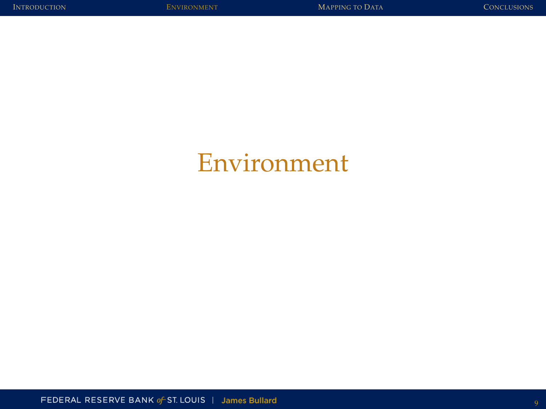# <span id="page-8-0"></span>Environment

FEDERAL RESERVE BANK of ST. LOUIS | James Bullard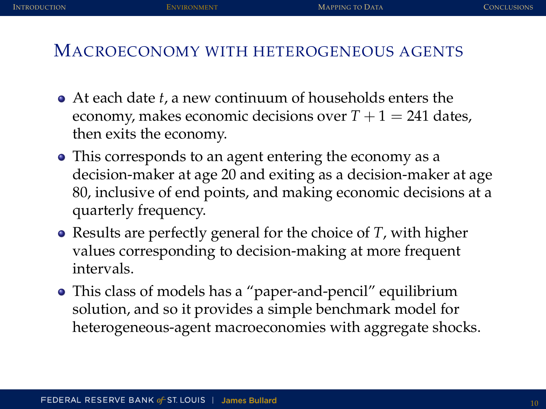## MACROECONOMY WITH HETEROGENEOUS AGENTS

- At each date *t*, a new continuum of households enters the economy, makes economic decisions over  $T + 1 = 241$  dates, then exits the economy.
- This corresponds to an agent entering the economy as a decision-maker at age 20 and exiting as a decision-maker at age 80, inclusive of end points, and making economic decisions at a quarterly frequency.
- Results are perfectly general for the choice of *T*, with higher values corresponding to decision-making at more frequent intervals.
- This class of models has a "paper-and-pencil" equilibrium solution, and so it provides a simple benchmark model for heterogeneous-agent macroeconomies with aggregate shocks.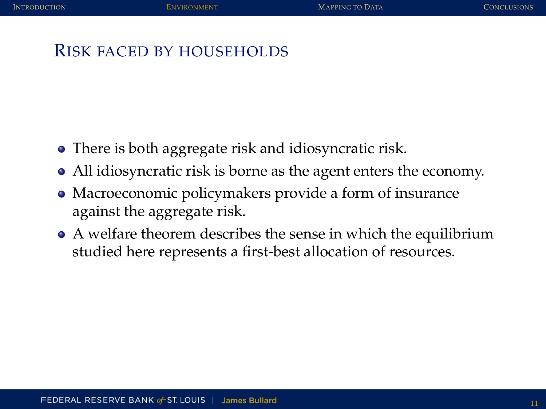#### RISK FACED BY HOUSEHOLDS

- There is both aggregate risk and idiosyncratic risk.
- All idiosyncratic risk is borne as the agent enters the economy.
- Macroeconomic policymakers provide a form of insurance against the aggregate risk.
- A welfare theorem describes the sense in which the equilibrium studied here represents a first-best allocation of resources.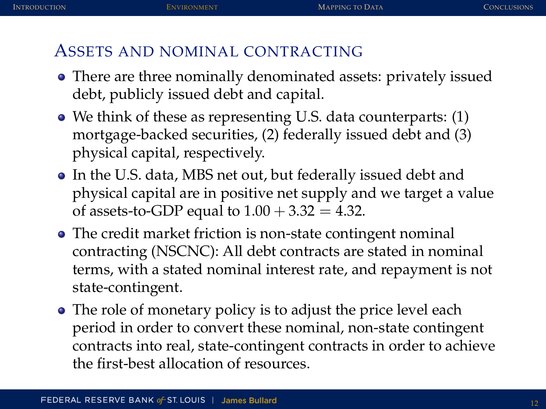#### ASSETS AND NOMINAL CONTRACTING

- There are three nominally denominated assets: privately issued debt, publicly issued debt and capital.
- We think of these as representing U.S. data counterparts: (1) mortgage-backed securities, (2) federally issued debt and (3) physical capital, respectively.
- In the U.S. data, MBS net out, but federally issued debt and physical capital are in positive net supply and we target a value of assets-to-GDP equal to  $1.00 + 3.32 = 4.32$ .
- The credit market friction is non-state contingent nominal contracting (NSCNC): All debt contracts are stated in nominal terms, with a stated nominal interest rate, and repayment is not state-contingent.
- The role of monetary policy is to adjust the price level each period in order to convert these nominal, non-state contingent contracts into real, state-contingent contracts in order to achieve the first-best allocation of resources.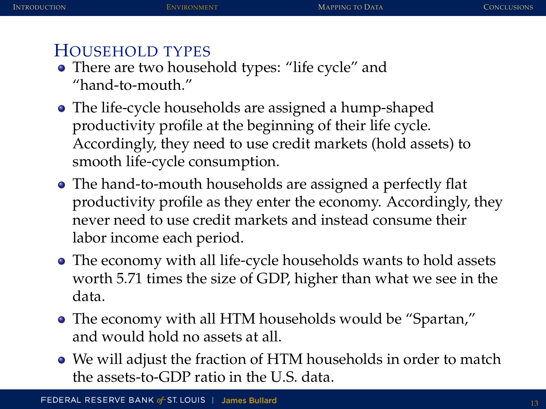# HOUSEHOLD TYPES

- There are two household types: "life cycle" and "hand-to-mouth."
- The life-cycle households are assigned a hump-shaped productivity profile at the beginning of their life cycle. Accordingly, they need to use credit markets (hold assets) to smooth life-cycle consumption.
- The hand-to-mouth households are assigned a perfectly flat productivity profile as they enter the economy. Accordingly, they never need to use credit markets and instead consume their labor income each period.
- The economy with all life-cycle households wants to hold assets worth 5.71 times the size of GDP, higher than what we see in the data.
- The economy with all HTM households would be "Spartan," and would hold no assets at all.
- We will adjust the fraction of HTM households in order to match the assets-to-GDP ratio in the U.S. data.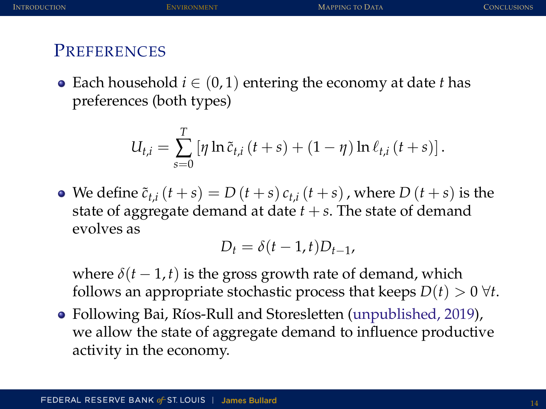#### **PREFERENCES**

• Each household  $i \in (0, 1)$  entering the economy at date *t* has preferences (both types)

$$
U_{t,i} = \sum_{s=0}^{T} [\eta \ln \tilde{c}_{t,i} (t+s) + (1-\eta) \ln \ell_{t,i} (t+s)].
$$

• We define  $\tilde{c}_{t,i}$   $(t + s) = D(t + s) c_{t,i}$   $(t + s)$ , where  $D(t + s)$  is the state of aggregate demand at date  $t + s$ . The state of demand evolves as

$$
D_t = \delta(t-1,t)D_{t-1},
$$

where  $\delta(t-1, t)$  is the gross growth rate of demand, which follows an appropriate stochastic process that keeps  $D(t) > 0$   $\forall t$ .

Following Bai, Ríos-Rull and Storesletten [\(unpublished, 2019\)](https://www.dropbox.com/s/eak71rpp5uq0yu4/BRS2019.pdf?dl=0), we allow the state of aggregate demand to influence productive activity in the economy.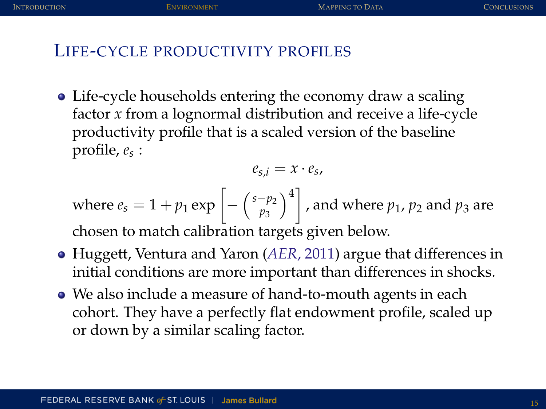# LIFE-CYCLE PRODUCTIVITY PROFILES

Life-cycle households entering the economy draw a scaling factor *x* from a lognormal distribution and receive a life-cycle productivity profile that is a scaled version of the baseline profile, *e<sup>s</sup>* :

$$
e_{s,i}=x\cdot e_s,
$$

where  $e_s = 1 + p_1 \exp \left[-\frac{p_1}{p_1 + p_2}\right]$  $\left(\frac{s-p_2}{p_3}\right)$  $\setminus$ <sup>4</sup>] , and where  $p_1$ ,  $p_2$  and  $p_3$  are

chosen to match calibration targets given below.

- Huggett, Ventura and Yaron (*AER*[, 2011\)](https://pubs.aeaweb.org/doi/pdfplus/10.1257/aer.101.7.2923) argue that differences in initial conditions are more important than differences in shocks.
- We also include a measure of hand-to-mouth agents in each cohort. They have a perfectly flat endowment profile, scaled up or down by a similar scaling factor.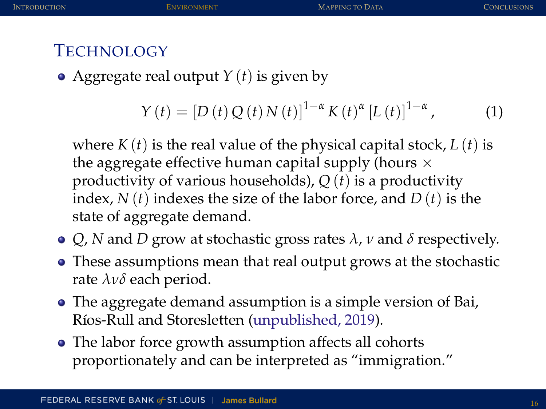# **TECHNOLOGY**

Aggregate real output *Y* (*t*) is given by

$$
Y(t) = [D(t) Q(t) N(t)]^{1-\alpha} K(t)^{\alpha} [L(t)]^{1-\alpha}, \qquad (1)
$$

where *K* (*t*) is the real value of the physical capital stock, *L* (*t*) is the aggregate effective human capital supply (hours  $\times$ productivity of various households),  $Q(t)$  is a productivity index, *N* (*t*) indexes the size of the labor force, and *D* (*t*) is the state of aggregate demand.

- *Q*, *N* and *D* grow at stochastic gross rates *λ*, *ν* and *δ* respectively.
- These assumptions mean that real output grows at the stochastic rate *λνδ* each period.
- The aggregate demand assumption is a simple version of Bai, Ríos-Rull and Storesletten [\(unpublished, 2019\)](https://www.dropbox.com/s/eak71rpp5uq0yu4/BRS2019.pdf?dl=0).
- The labor force growth assumption affects all cohorts proportionately and can be interpreted as "immigration."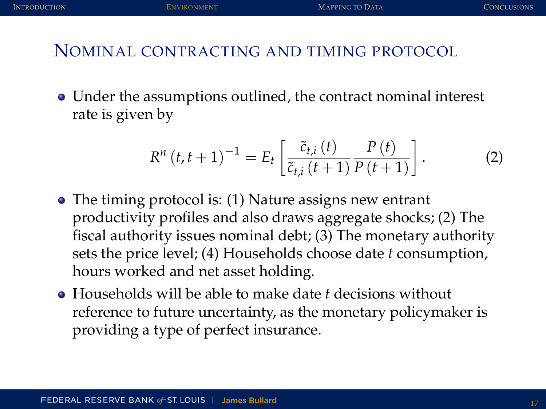# NOMINAL CONTRACTING AND TIMING PROTOCOL

Under the assumptions outlined, the contract nominal interest rate is given by

$$
R^{n}(t, t+1)^{-1} = E_{t}\left[\frac{\tilde{c}_{t,i}(t)}{\tilde{c}_{t,i}(t+1)} \frac{P(t)}{P(t+1)}\right].
$$
 (2)

- The timing protocol is: (1) Nature assigns new entrant productivity profiles and also draws aggregate shocks; (2) The fiscal authority issues nominal debt; (3) The monetary authority sets the price level; (4) Households choose date *t* consumption, hours worked and net asset holding.
- Households will be able to make date *t* decisions without reference to future uncertainty, as the monetary policymaker is providing a type of perfect insurance.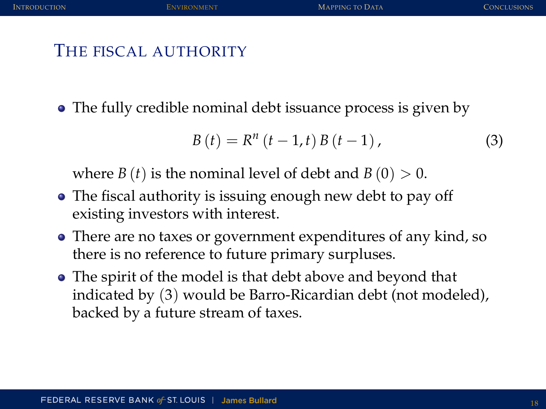# THE FISCAL AUTHORITY

The fully credible nominal debt issuance process is given by

<span id="page-17-0"></span>
$$
B(t) = R^{n} (t - 1, t) B(t - 1),
$$
 (3)

where *B* (*t*) is the nominal level of debt and *B* (0)  $>$  0.

- The fiscal authority is issuing enough new debt to pay off existing investors with interest.
- There are no taxes or government expenditures of any kind, so there is no reference to future primary surpluses.
- The spirit of the model is that debt above and beyond that indicated by ([3](#page-17-0)) would be Barro-Ricardian debt (not modeled), backed by a future stream of taxes.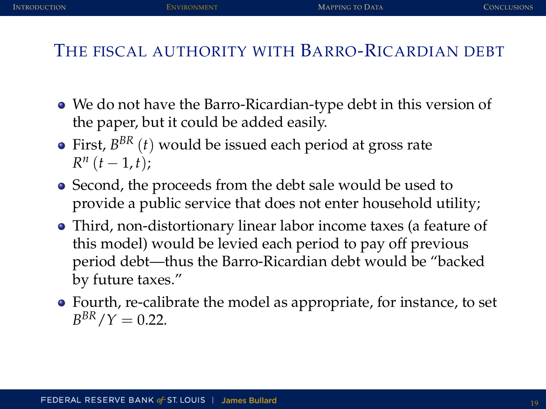# THE FISCAL AUTHORITY WITH BARRO-RICARDIAN DEBT

- We do not have the Barro-Ricardian-type debt in this version of the paper, but it could be added easily.
- First*, B<sup>BR</sup> (t) would be issued each period at gross rate*  $R^n(t-1,t);$
- Second, the proceeds from the debt sale would be used to provide a public service that does not enter household utility;
- Third, non-distortionary linear labor income taxes (a feature of this model) would be levied each period to pay off previous period debt—thus the Barro-Ricardian debt would be "backed by future taxes."
- Fourth, re-calibrate the model as appropriate, for instance, to set  $B^{BR}$  /  $Y = 0.22$ .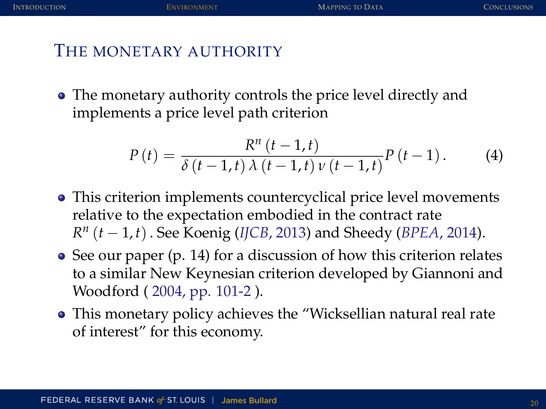### THE MONETARY AUTHORITY

The monetary authority controls the price level directly and implements a price level path criterion

$$
P(t) = \frac{R^n (t - 1, t)}{\delta (t - 1, t) \lambda (t - 1, t) \nu (t - 1, t)} P(t - 1).
$$
 (4)

- This criterion implements countercyclical price level movements relative to the expectation embodied in the contract rate *R n* (*t* 1, *t*). See Koenig (*IJCB*[, 2013\)](http://www.ijcb.org/journal/ijcb13q2a3.pdf) and Sheedy (*BPEA*[, 2014\)](http://www.jstor.org/stable/23936278).
- See our paper (p. 14) for a discussion of how this criterion relates to a similar New Keynesian criterion developed by Giannoni and Woodford ( [2004, pp. 101-2](https://www.nber.org/system/files/chapters/c9557/c9557.pdf) ).
- This monetary policy achieves the "Wicksellian natural real rate of interest" for this economy.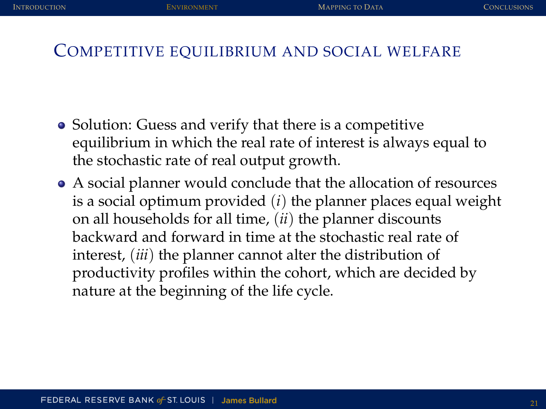#### COMPETITIVE EQUILIBRIUM AND SOCIAL WELFARE

- Solution: Guess and verify that there is a competitive equilibrium in which the real rate of interest is always equal to the stochastic rate of real output growth.
- A social planner would conclude that the allocation of resources is a social optimum provided (*i*) the planner places equal weight on all households for all time, (*ii*) the planner discounts backward and forward in time at the stochastic real rate of interest, (*iii*) the planner cannot alter the distribution of productivity profiles within the cohort, which are decided by nature at the beginning of the life cycle.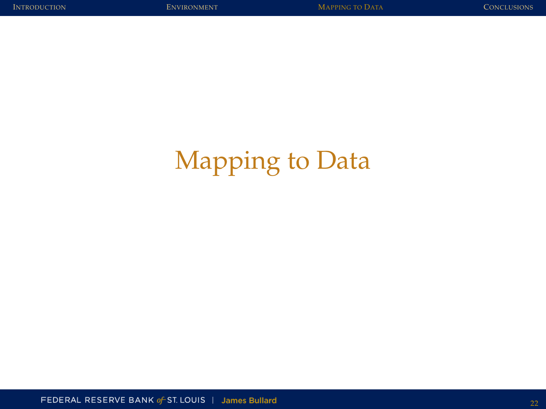# <span id="page-21-0"></span>Mapping to Data

FEDERAL RESERVE BANK of ST. LOUIS | James Bullard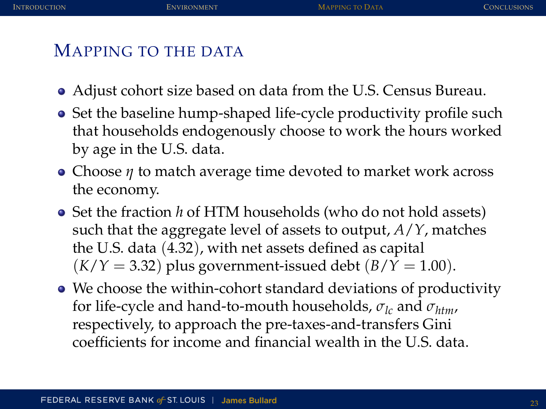## MAPPING TO THE DATA

- Adjust cohort size based on data from the U.S. Census Bureau.
- Set the baseline hump-shaped life-cycle productivity profile such that households endogenously choose to work the hours worked by age in the U.S. data.
- Choose *η* to match average time devoted to market work across the economy.
- Set the fraction *h* of HTM households (who do not hold assets) such that the aggregate level of assets to output, *A*/*Y*, matches the U.S. data (4.32), with net assets defined as capital  $(K/Y = 3.32)$  plus government-issued debt  $(B/Y = 1.00)$ .
- We choose the within-cohort standard deviations of productivity for life-cycle and hand-to-mouth households, *σlc* and *σhtm*, respectively, to approach the pre-taxes-and-transfers Gini coefficients for income and financial wealth in the U.S. data.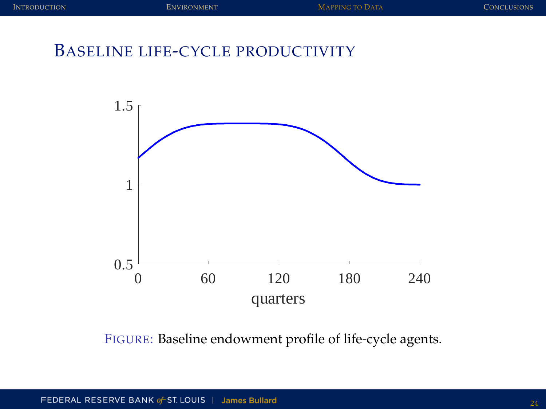# BASELINE LIFE-CYCLE PRODUCTIVITY



FIGURE: Baseline endowment profile of life-cycle agents.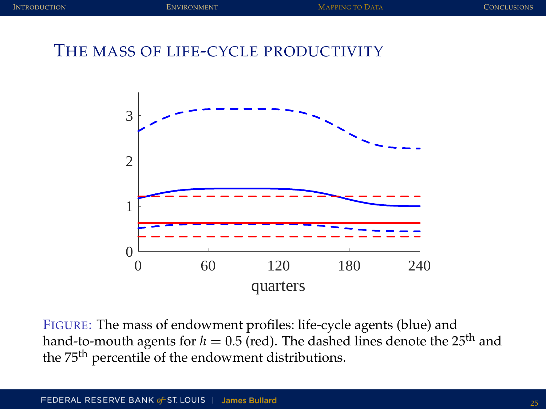## THE MASS OF LIFE-CYCLE PRODUCTIVITY



FIGURE: The mass of endowment profiles: life-cycle agents (blue) and hand-to-mouth agents for  $h = 0.5$  (red). The dashed lines denote the 25<sup>th</sup> and the 75<sup>th</sup> percentile of the endowment distributions.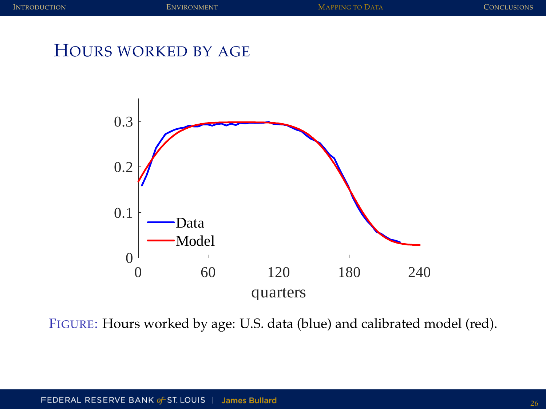#### HOURS WORKED BY AGE



FIGURE: Hours worked by age: U.S. data (blue) and calibrated model (red).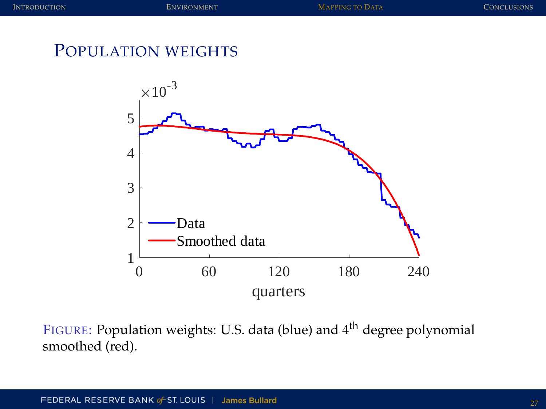POPULATION WEIGHTS



FIGURE: Population weights: U.S. data (blue) and 4<sup>th</sup> degree polynomial smoothed (red).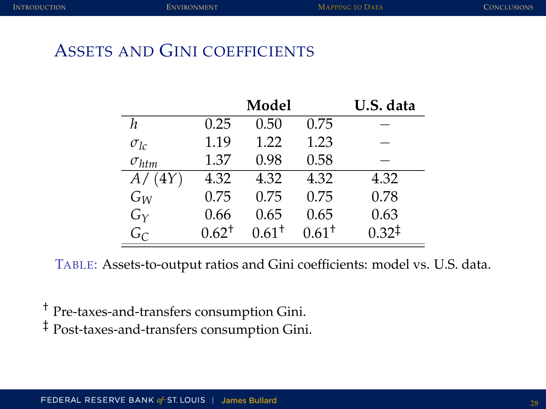# ASSETS AND GINI COEFFICIENTS

|                |          | Model    |          | U.S. data         |
|----------------|----------|----------|----------|-------------------|
| h.             | 0.25     | 0.50     | 0.75     |                   |
| $\sigma_{lc}$  | 1.19     | 1.22     | 1.23     |                   |
| $\sigma_{htm}$ | 1.37     | 0.98     | 0.58     |                   |
| A/(4Y)         | 4.32     | 4.32     | 4.32     | 4.32              |
| Gw             | 0.75     | 0.75     | 0.75     | 0.78              |
| $G_Y$          | 0.66     | 0.65     | 0.65     | 0.63              |
| $G_C$          | $0.62^+$ | $0.61^+$ | $0.61^+$ | $0.32^{\ddagger}$ |

TABLE: Assets-to-output ratios and Gini coefficients: model vs. U.S. data.

† Pre-taxes-and-transfers consumption Gini. ‡ Post-taxes-and-transfers consumption Gini.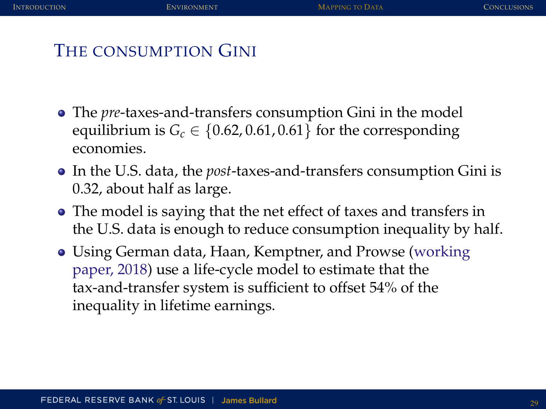# THE CONSUMPTION GINI

- The *pre*-taxes-and-transfers consumption Gini in the model equilibrium is  $G_c \in \{0.62, 0.61, 0.61\}$  for the corresponding economies.
- In the U.S. data, the *post*-taxes-and-transfers consumption Gini is 0.32, about half as large.
- The model is saying that the net effect of taxes and transfers in the U.S. data is enough to reduce consumption inequality by half.
- Using German data, Haan, Kemptner, and Prowse [\(working](https://docs.iza.org/dp11275.pdf) [paper, 2018\)](https://docs.iza.org/dp11275.pdf) use a life-cycle model to estimate that the tax-and-transfer system is sufficient to offset 54% of the inequality in lifetime earnings.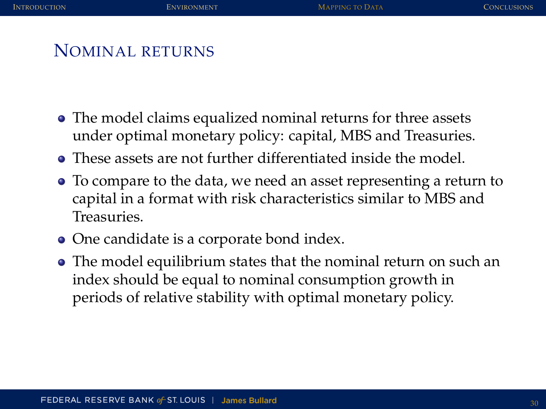#### NOMINAL RETURNS

- The model claims equalized nominal returns for three assets under optimal monetary policy: capital, MBS and Treasuries.
- These assets are not further differentiated inside the model.
- To compare to the data, we need an asset representing a return to capital in a format with risk characteristics similar to MBS and Treasuries.
- One candidate is a corporate bond index.
- The model equilibrium states that the nominal return on such an index should be equal to nominal consumption growth in periods of relative stability with optimal monetary policy.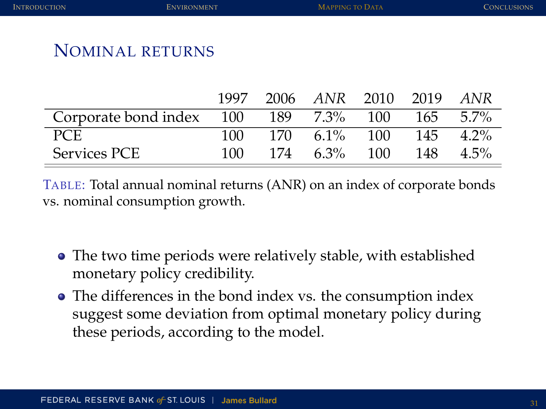# NOMINAL RETURNS

|                          | 1997 |     | 2006 ANR 2010 2019 ANR |     |      |                   |
|--------------------------|------|-----|------------------------|-----|------|-------------------|
| Corporate bond index 100 |      |     | 189 7.3%               | 100 |      | $165 - 5.7\%$     |
| PCE.                     | 100  | 170 | $6.1\%$                | 100 |      | $145 \quad 4.2\%$ |
| Services PCE             | 100  | 174 | 6.3%                   | 100 | 148. | $4.5\%$           |

TABLE: Total annual nominal returns (ANR) on an index of corporate bonds vs. nominal consumption growth.

- The two time periods were relatively stable, with established monetary policy credibility.
- The differences in the bond index vs. the consumption index suggest some deviation from optimal monetary policy during these periods, according to the model.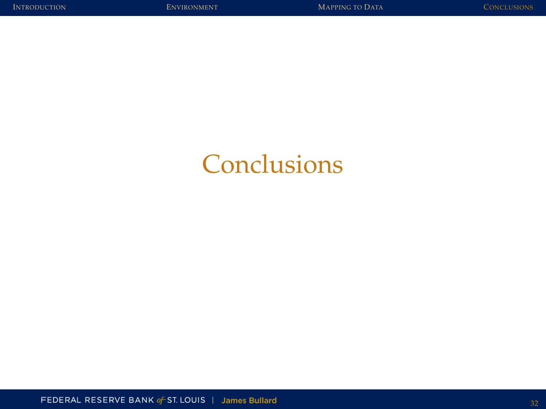# <span id="page-31-0"></span>**Conclusions**

FEDERAL RESERVE BANK of ST. LOUIS | James Bullard